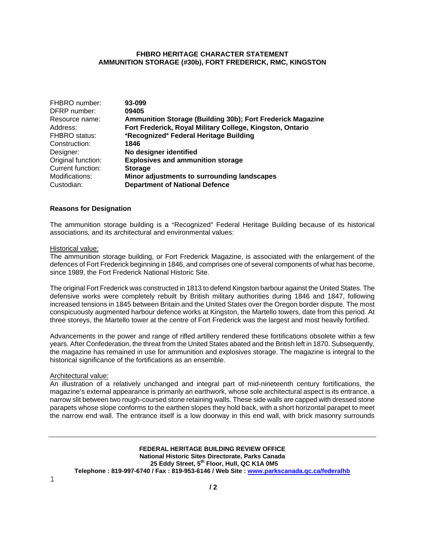## **FHBRO HERITAGE CHARACTER STATEMENT AMMUNITION STORAGE (#30b), FORT FREDERICK, RMC, KINGSTON**

| FHBRO number:      | 93-099                                                     |
|--------------------|------------------------------------------------------------|
| DFRP number:       | 09405                                                      |
| Resource name:     | Ammunition Storage (Building 30b); Fort Frederick Magazine |
| Address:           | Fort Frederick, Royal Military College, Kingston, Ontario  |
| FHBRO status:      | "Recognized" Federal Heritage Building                     |
| Construction:      | 1846                                                       |
| Designer:          | No designer identified                                     |
| Original function: | <b>Explosives and ammunition storage</b>                   |
| Current function:  | <b>Storage</b>                                             |
| Modifications:     | Minor adjustments to surrounding landscapes                |
| Custodian:         | <b>Department of National Defence</b>                      |

#### **Reasons for Designation**

The ammunition storage building is a "Recognized" Federal Heritage Building because of its historical associations, and its architectural and environmental values:

#### Historical value:

The ammunition storage building, or Fort Frederick Magazine, is associated with the enlargement of the defences of Fort Frederick beginning in 1846, and comprises one of several components of what has become, since 1989, the Fort Frederick National Historic Site.

The original Fort Frederick was constructed in 1813 to defend Kingston harbour against the United States. The defensive works were completely rebuilt by British military authorities during 1846 and 1847, following increased tensions in 1845 between Britain and the United States over the Oregon border dispute. The most conspicuously augmented harbour defence works at Kingston, the Martello towers, date from this period. At three storeys, the Martello tower at the centre of Fort Frederick was the largest and most heavily fortified.

Advancements in the power and range of rifled artillery rendered these fortifications obsolete within a few years. After Confederation, the threat from the United States abated and the British left in 1870. Subsequently, the magazine has remained in use for ammunition and explosives storage. The magazine is integral to the historical significance of the fortifications as an ensemble.

#### Architectural value:

An illustration of a relatively unchanged and integral part of mid-nineteenth century fortifications, the magazine's external appearance is primarily an earthwork, whose sole architectural aspect is its entrance, a narrow slit between two rough-coursed stone retaining walls. These side walls are capped with dressed stone parapets whose slope conforms to the earthen slopes they hold back, with a short horizontal parapet to meet the narrow end wall. The entrance itself is a low doorway in this end wall, with brick masonry surrounds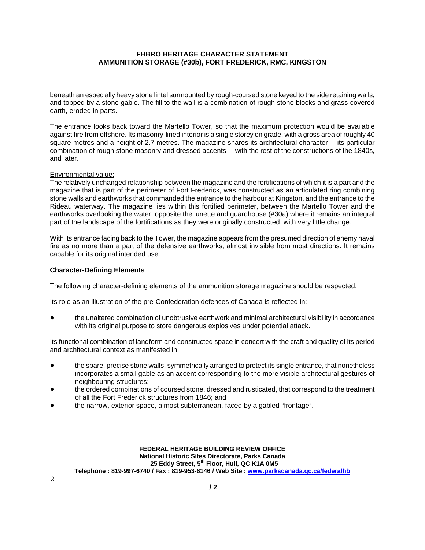# **FHBRO HERITAGE CHARACTER STATEMENT AMMUNITION STORAGE (#30b), FORT FREDERICK, RMC, KINGSTON**

beneath an especially heavy stone lintel surmounted by rough-coursed stone keyed to the side retaining walls, and topped by a stone gable. The fill to the wall is a combination of rough stone blocks and grass-covered earth, eroded in parts.

The entrance looks back toward the Martello Tower, so that the maximum protection would be available against fire from offshore. Its masonry-lined interior is a single storey on grade, with a gross area of roughly 40 square metres and a height of 2.7 metres. The magazine shares its architectural character  $-$  its particular combination of rough stone masonry and dressed accents — with the rest of the constructions of the 1840s, and later.

### Environmental value:

The relatively unchanged relationship between the magazine and the fortifications of which it is a part and the magazine that is part of the perimeter of Fort Frederick, was constructed as an articulated ring combining stone walls and earthworks that commanded the entrance to the harbour at Kingston, and the entrance to the Rideau waterway. The magazine lies within this fortified perimeter, between the Martello Tower and the earthworks overlooking the water, opposite the lunette and guardhouse (#30a) where it remains an integral part of the landscape of the fortifications as they were originally constructed, with very little change.

With its entrance facing back to the Tower, the magazine appears from the presumed direction of enemy naval fire as no more than a part of the defensive earthworks, almost invisible from most directions. It remains capable for its original intended use.

### **Character-Defining Elements**

The following character-defining elements of the ammunition storage magazine should be respected:

Its role as an illustration of the pre-Confederation defences of Canada is reflected in:

the unaltered combination of unobtrusive earthwork and minimal architectural visibility in accordance with its original purpose to store dangerous explosives under potential attack.

Its functional combination of landform and constructed space in concert with the craft and quality of its period and architectural context as manifested in:

- the spare, precise stone walls, symmetrically arranged to protect its single entrance, that nonetheless incorporates a small gable as an accent corresponding to the more visible architectural gestures of neighbouring structures;
- the ordered combinations of coursed stone, dressed and rusticated, that correspond to the treatment of all the Fort Frederick structures from 1846; and
- the narrow, exterior space, almost subterranean, faced by a gabled "frontage".